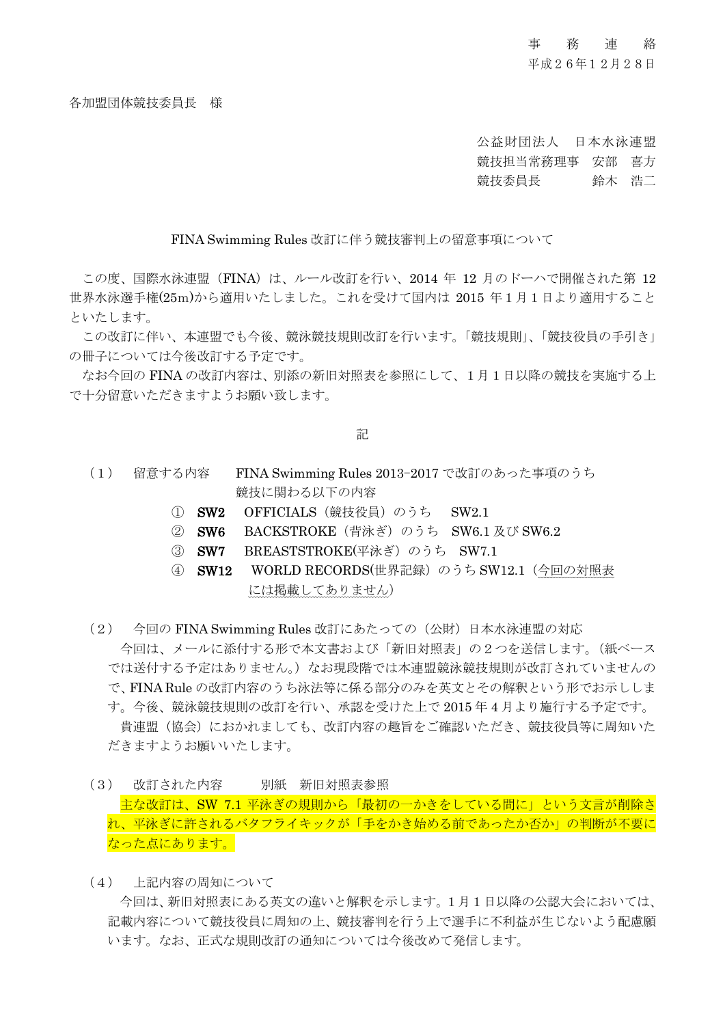## 事務連 絡

平成26年12月28日

各加盟団体競技委員長 様

公益財団法人 日本水泳連盟 競技担当常務理事 安部 喜方 競技委員長 鈴木 浩二

FINA Swimming Rules 改訂に伴う競技審判上の留意事項について

この度、国際水泳連盟 (FINA) は、ルール改訂を行い、2014 年 12 月のドーハで開催された第 12 世界水泳選手権(25m)から適用いたしました。これを受けて国内は 2015 年1月1日より適用すること といたします。

この改訂に伴い、本連盟でも今後、競泳競技規則改訂を行います。「競技規則」、「競技役員の手引き」 の冊子については今後改訂する予定です。

なお今回の FINA の改訂内容は、別添の新旧対照表を参照にして、1月1日以降の競技を実施する上 で十分留意いただきますようお願い致します。

記

- (1) 留意する内容 FINA Swimming Rules 2013-2017 で改訂のあった事項のうち 競技に関わる以下の内容
	- ① SW2 OFFICIALS(競技役員)のうち SW2.1
	- ② SW6 BACKSTROKE(背泳ぎ)のうち SW6.1 及び SW6.2
	- 3 **SW7** BREASTSTROKE(平泳ぎ) のうち SW7.1
	- ④ SW12 WORLD RECORDS(世界記録)のうち SW12.1(今回の対照表 には掲載してありません)
- (2) 今回の FINA Swimming Rules 改訂にあたっての(公財)日本水泳連盟の対応 今回は、メールに添付する形で本文書および「新旧対照表」の2つを送信します。(紙ベース では送付する予定はありません。)なお現段階では本連盟競泳競技規則が改訂されていませんの で、FINA Rule の改訂内容のうち泳法等に係る部分のみを英文とその解釈という形でお示ししま す。今後、競泳競技規則の改訂を行い、承認を受けた上で 2015 年 4 月より施行する予定です。 貴連盟(協会)におかれましても、改訂内容の趣旨をご確認いただき、競技役員等に周知いた だきますようお願いいたします。
- (3) 改訂された内容 別紙 新旧対照表参照 主な改訂は、SW 7.1 平泳ぎの規則から「最初の一かきをしている間に」という文言が削除さ れ、平泳ぎに許されるバタフライキックが「手をかき始める前であったか否か」の判断が不要に なった点にあります。
- (4) 上記内容の周知について

今回は、新旧対照表にある英文の違いと解釈を示します。1月1日以降の公認大会においては、 記載内容について競技役員に周知の上、競技審判を行う上で選手に不利益が生じないよう配慮願 います。なお、正式な規則改訂の通知については今後改めて発信します。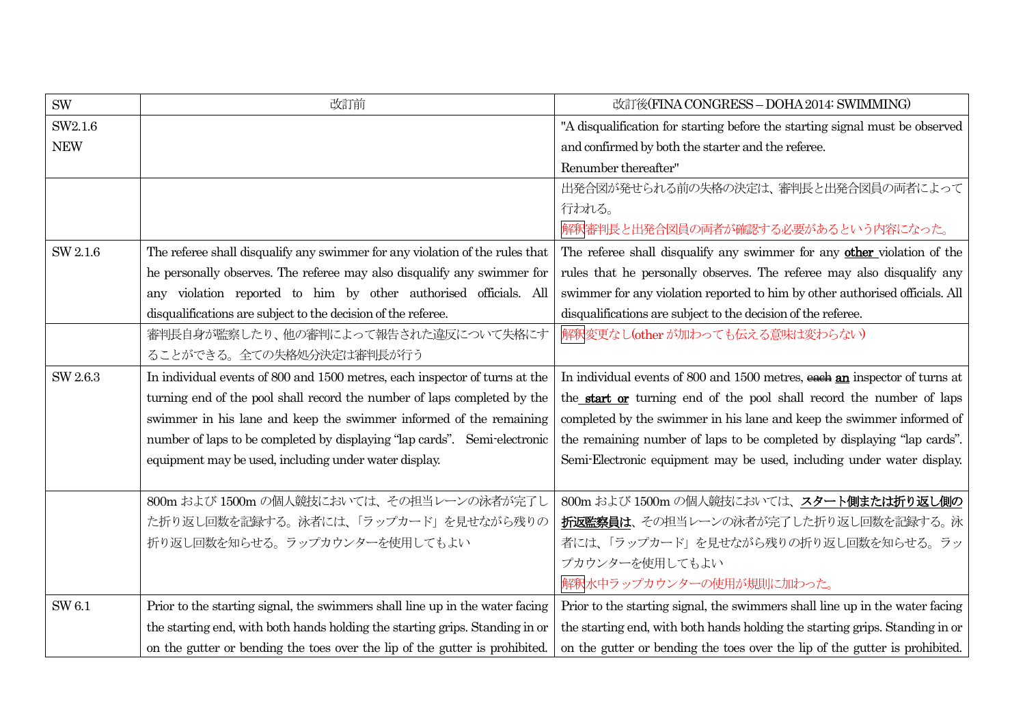| <b>SW</b>  | 改訂前                                                                          | 改訂後(FINA CONGRESS - DOHA 2014: SWIMMING)                                     |
|------------|------------------------------------------------------------------------------|------------------------------------------------------------------------------|
| SW2.1.6    |                                                                              | "A disqualification for starting before the starting signal must be observed |
| <b>NEW</b> |                                                                              | and confirmed by both the starter and the referee.                           |
|            |                                                                              | Renumber thereafter"                                                         |
|            |                                                                              | 出発合図が発せられる前の失格の決定は、審判長と出発合図員の両者によって                                          |
|            |                                                                              | 行われる。                                                                        |
|            |                                                                              | 解釈審判長と出発合図員の両者が確認する必要があるという内容になった。                                           |
| SW 2.1.6   | The referee shall disqualify any swimmer for any violation of the rules that | The referee shall disqualify any swimmer for any other violation of the      |
|            | he personally observes. The referee may also disqualify any swimmer for      | rules that he personally observes. The referee may also disqualify any       |
|            | any violation reported to him by other authorised officials. All             | swimmer for any violation reported to him by other authorised officials. All |
|            | disqualifications are subject to the decision of the referee.                | disqualifications are subject to the decision of the referee.                |
|            | 審判長自身が監察したり、他の審判によって報告された違反について失格にす                                          | 解釈変更なし(other が加わっても伝える意味は変わらない)                                              |
|            | ることができる。全ての失格処分決定は審判長が行う                                                     |                                                                              |
| SW 2.6.3   | In individual events of 800 and 1500 metres, each inspector of turns at the  | In individual events of 800 and 1500 metres, each an inspector of turns at   |
|            | turning end of the pool shall record the number of laps completed by the     | the start or turning end of the pool shall record the number of laps         |
|            | swimmer in his lane and keep the swimmer informed of the remaining           | completed by the swimmer in his lane and keep the swimmer informed of        |
|            | number of laps to be completed by displaying "lap cards". Semi-electronic    | the remaining number of laps to be completed by displaying "lap cards".      |
|            | equipment may be used, including under water display.                        | Semi-Electronic equipment may be used, including under water display.        |
|            |                                                                              |                                                                              |
|            | 800m および 1500m の個人競技においては、その担当レーンの泳者が完了し                                     | 800m および 1500m の個人競技においては、スタート側または折り返し側の                                     |
|            | た折り返し回数を記録する。泳者には、「ラップカード」を見せながら残りの                                          | 折返監察員は、その担当レーンの泳者が完了した折り返し回数を記録する。泳                                          |
|            | 折り返し回数を知らせる。ラップカウンターを使用してもよい                                                 | 者には、「ラップカード」を見せながら残りの折り返し回数を知らせる。ラッ                                          |
|            |                                                                              | プカウンターを使用してもよい                                                               |
|            |                                                                              | 解釈水中ラップカウンターの使用が規則に加わった。                                                     |
| SW 6.1     | Prior to the starting signal, the swimmers shall line up in the water facing | Prior to the starting signal, the swimmers shall line up in the water facing |
|            | the starting end, with both hands holding the starting grips. Standing in or | the starting end, with both hands holding the starting grips. Standing in or |
|            | on the gutter or bending the toes over the lip of the gutter is prohibited.  | on the gutter or bending the toes over the lip of the gutter is prohibited.  |